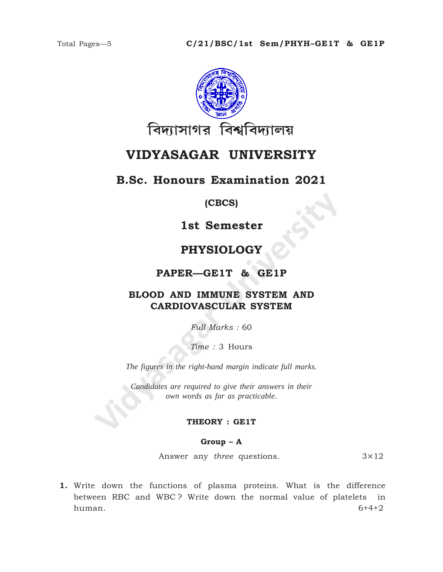

# **VIDYASAGAR UNIVERSITY**

### **B.Sc. Honours Examination 2021**

**(CBCS)**

**1st Semester**

## **PHYSIOLOGY**

**PAPER—GE1T & GE1P**

# **IST SEMESTER<br>
IST SEMESTER<br>
PHYSIOLOGY<br>
PAPER—GE1T & GE1P<br>
BLOOD AND IMMUNE SYSTEM AND<br>
CARDIOVASCULAR SYSTEM**<br>
Full Marks : 60<br>
Time : 3 Hours<br>
The figures in the right-hand margin indicate full marks.<br>
Candidates are re **BLOOD AND IMMUNE SYSTEM AND CARDIOVASCULAR SYSTEM**

*Full Marks :* 60

*Time :* 3 Hours

*The figures in the right-hand margin indicate full marks.*

*Candidates are required to give their answers in their own words as far as practicable.*

#### **THEORY : GE1T**

**Group – A**

Answer any *three* questions. 3×12

**1.** Write down the functions of plasma proteins. What is the difference between RBC and WBC ? Write down the normal value of platelets in human. 6+4+2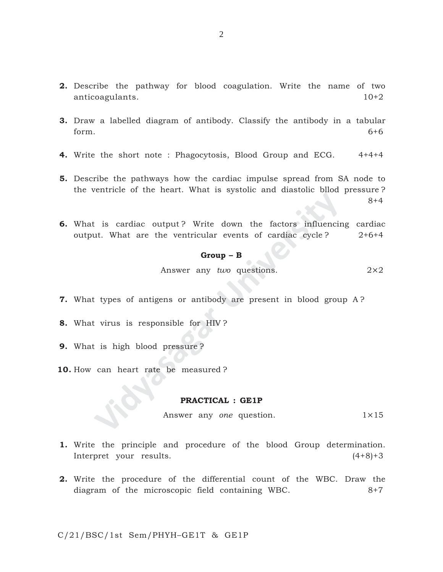- **2.** Describe the pathway for blood coagulation. Write the name of two anticoagulants. 10+2
- **3.** Draw a labelled diagram of antibody. Classify the antibody in a tabular form.  $6+6$
- **4.** Write the short note : Phagocytosis, Blood Group and ECG. 4+4+4
- **5.** Describe the pathways how the cardiac impulse spread from SA node to the ventricle of the heart. What is systolic and diastolic bllod pressure ? 8+4
- **Example 18 Second Warner Started Warner Started Warner Started Warner Started Warner Started Warner Started Warner Started Warner Started Warner Started Warner Started Warner Started Warner Started Warner Started Started 6.** What is cardiac output ? Write down the factors influencing cardiac output. What are the ventricular events of cardiac cycle?  $2+6+4$

#### **Group – B**

Answer any *two* questions. 2×2

- **7.** What types of antigens or antibody are present in blood group A ?
- **8.** What virus is responsible for HIV ?
- **9.** What is high blood pressure ?
- **10.** How can heart rate be measured ?

#### **PRACTICAL : GE1P**

Answer any *one* question. 1×15

- **1.** Write the principle and procedure of the blood Group determination. Interpret your results. (4+8)+3
- **2.** Write the procedure of the differential count of the WBC. Draw the diagram of the microscopic field containing WBC. 8+7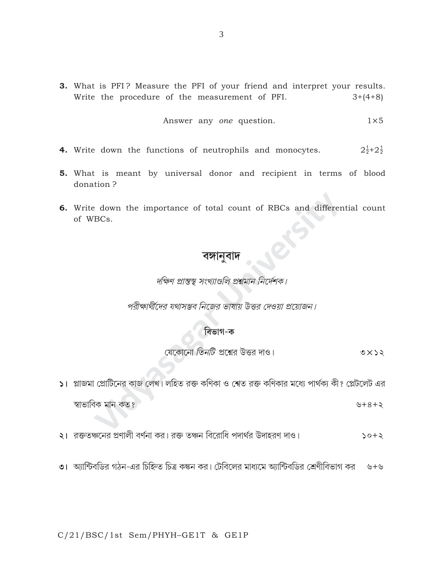3. What is PFI? Measure the PFI of your friend and interpret your results. Write the procedure of the measurement of PFI.  $3+(4+8)$ 

Answer any *one* question. 
$$
1 \times 5
$$

- **4.** Write down the functions of neutrophils and monocytes.  $2\frac{1}{2}+2\frac{1}{2}$
- 5. What is meant by universal donor and recipient in terms of blood donation?
- 6. Write down the importance of total count of RBCs and differential count of WBCs.

# বঙ্গানুবাদ

দক্ষিণ প্রান্তস্থ সংখ্যাগুলি প্রশ্নমান নির্দেশক।

পরীক্ষার্থীদের যথাসম্ভব নিজের ভাষায় উত্তর দেওয়া প্রয়োজন।

#### বিভাগ-ক

যেকোনো তিনটি প্রশ্নের উত্তর দাও।  $\circ \times \circ \circ$ 

- ১। প্লাজমা প্রোটিনের কাজ লেখ। লহিত রক্ত কণিকা ও শেত রক্ত কণিকার মধ্যে পার্থক্য কী? প্লেটলেট এর স্বাভাবিক মান কত? ৬+৪+২
- ২। রক্ততঞ্চনের প্রণালী বর্ণনা কর। রক্ত তঞ্চন বিরোধি পদার্থর উদাহরণ দাও।  $50 + 5$
- ৩। আন্টিবডির গঠন-এর চিহ্নিত চিত্র কঙ্কন কর। টেবিলের মাধ্যমে অ্যান্টিবডির শ্রেণীবিভাগ কর ৬+৬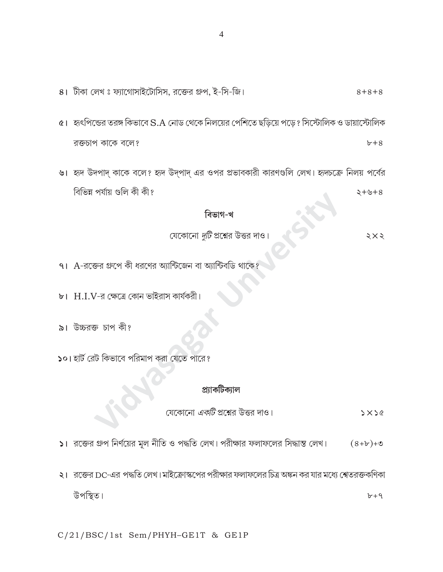8। টীকা লেখ ঃ ফ্যাগোসাইটোসিস, রক্তের গ্রুপ, ই-সি-জি।  $8 + 8 + 8$ 

- $\alpha$ । হৃৎপিন্ডের তরঙ্গ কিভাবে S.A নোড থেকে নিলয়ের পেশিতে ছড়িয়ে পড়ে ? সিস্টোলিক ও ডায়াস্টোলিক রক্তচাপ কাকে বলে?  $b+8$
- ৬। হৃদ উদপাদ কাকে বলে? হৃদ উদ্পাদ এর ওপর প্রভাবকারী কারণগুলি লেখ। হৃদচক্রে নিলয় পর্বের বিভিন্ন পৰ্যায় গুলি কী কী?  $8 + 6 + 8$

বিভাগ-খ

- যেকোনো *দুটি* প্রশ্নের উত্তর দাও।
- $91$   $A$ -রক্তের গ্রুপে কী ধরণের অ্যান্টিজেন বা অ্যান্টিবডি থা
- ৮। H.I.V-র ক্ষেত্রে কোন ভাইরাস কার্যকরী।
- ৯। উচ্চরক্ত চাপ কী?
- ১০। হার্ট রেট কিভাবে পরিমাপ করা যেতে পারে?

#### প্ৰ্যাকটিক্যাল

যেকোনো *একটি* প্রশ্নের উত্তর দাও।  $5x56$ 

- $|S|$  রক্তের গ্রুপ নির্ণয়ের মূল নীতি ও পদ্ধতি লেখ। পরীক্ষার ফলাফলের সিদ্ধান্ত লেখ।  $(8+b)+$ ত
- ২। রজের DC-এর পদ্ধতি লেখ।মাইক্রোস্কপের পরীক্ষার ফলাফলের চিত্র অঙ্কন কর যার মধ্যে শ্বেতরক্তকণিকা উপস্থিত।  $b+9$

C/21/BSC/1st Sem/PHYH-GE1T & GE1P

 $5\times$